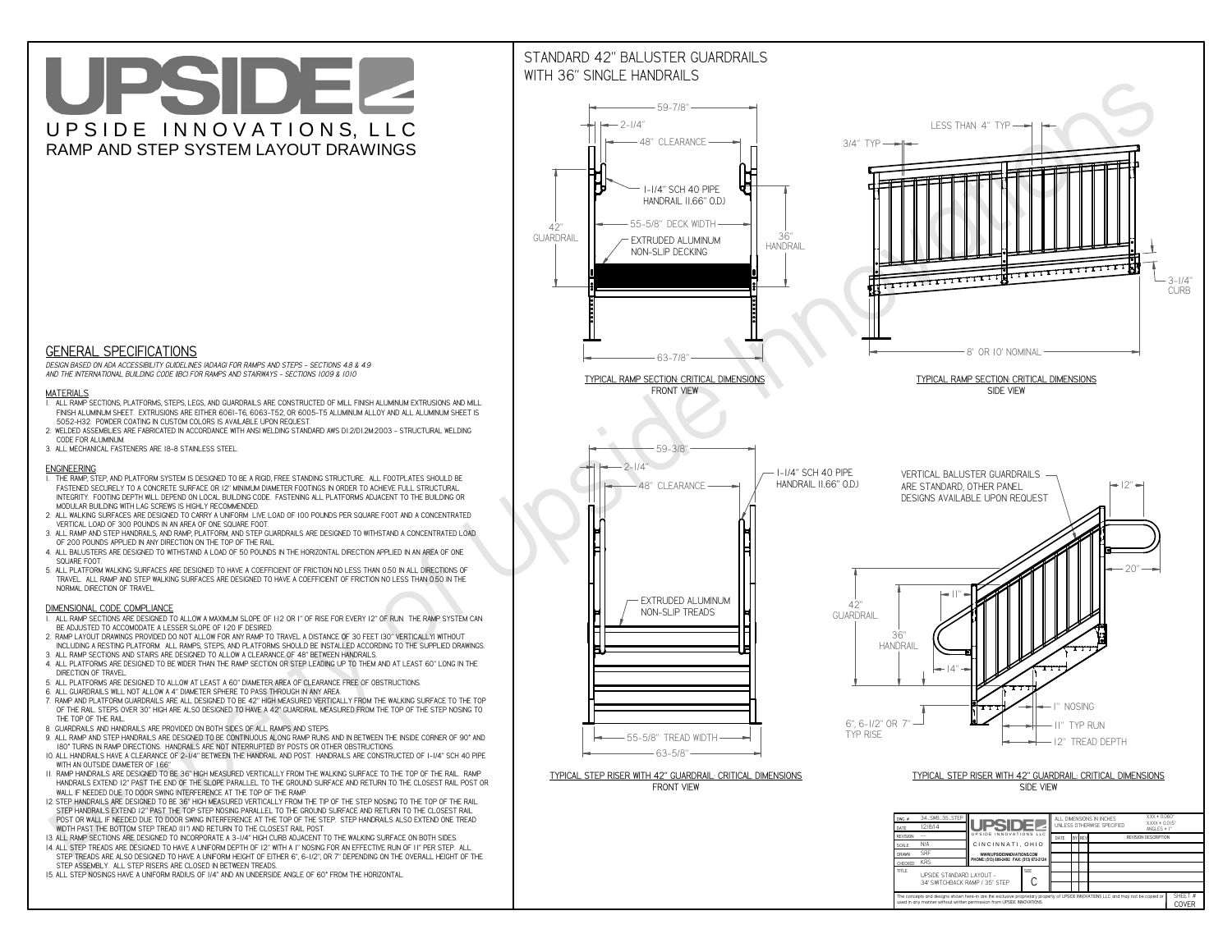**used in any manner without written permission from UPSIDE INNOVATIONS.**

# UPSIDEL UPSIDE INNOVATIONS, LLC RAMP AND STEP SYSTEM LAYOUT DRAWINGS



The concepts and designs shown here-in are the exclusive proprietary property of UPSIDE INNOVATIONS LLC. and may not be copied o

**I** 

SHEET #**COVER**

34' SWITCHBACK RAMP / 35" STEP

# WITH 36" SINGLE HANDRAILS



 *DESIGN BASED ON ADA ACCESSIBILITY GUIDELINES (ADAAG) FOR RAMPS AND STEPS - SECTIONS 4.8 & 4.9AND THE INTERNATIONAL BUILDING CODE (IBC) FOR RAMPS AND STAIRWAYS - SECTIONS 1009 & 1010*

### **MATERIALS**

- **1. ALL RAMP SECTIONS, PLATFORMS, STEPS, LEGS, AND GUARDRAILS ARE CONSTRUCTED OF MILL FINISH ALUMINUM EXTRUSIONS AND MILL FINISH ALUMINUM SHEET. EXTRUSIONS ARE EITHER 6061-T6, 6063-T52, OR 6005-T5 ALUMINUM ALLOY AND ALL ALUMINUM SHEET IS 5052-H32. POWDER COATING IN CUSTOM COLORS IS AVAILABLE UPON REQUEST.**
- **2. WELDED ASSEMBLIES ARE FABRICATED IN ACCORDANCE WITH ANSI WELDING STANDARD AWS D1.2/D1.2M:2003 STRUCTURAL WELDING CODE FOR ALUMINUM.**
- **3. ALL MECHANICAL FASTENERS ARE 18-8 STAINLESS STEEL.**

#### **ENGINEERING**

- **1. THE RAMP, STEP, AND PLATFORM SYSTEM IS DESIGNED TO BE A RIGID, FREE STANDING STRUCTURE. ALL FOOTPLATES SHOULD BE FASTENED SECURELY TO A CONCRETE SURFACE OR 12" MINIMUM DIAMETER FOOTINGS IN ORDER TO ACHIEVE FULL STRUCTURAL INTEGRITY. FOOTING DEPTH WILL DEPEND ON LOCAL BUILDING CODE. FASTENING ALL PLATFORMS ADJACENT TO THE BUILDING OR MODULAR BUILDING WITH LAG SCREWS IS HIGHLY RECOMMENDED.**
- **2. ALL WALKING SURFACES ARE DESIGNED TO CARRY A UNIFORM LIVE LOAD OF 100 POUNDS PER SQUARE FOOT AND A CONCENTRATED VERTICAL LOAD OF 300 POUNDS IN AN AREA OF ONE SQUARE FOOT.**
- **3. ALL RAMP AND STEP HANDRAILS, AND RAMP, PLATFORM, AND STEP GUARDRAILS ARE DESIGNED TO WITHSTAND A CONCENTRATED LOAD OF 200 POUNDS APPLIED IN ANY DIRECTION ON THE TOP OF THE RAIL.**
- **4. ALL BALUSTERS ARE DESIGNED TO WITHSTAND A LOAD OF 50 POUNDS IN THE HORIZONTAL DIRECTION APPLIED IN AN AREA OF ONE SQUARE FOOT.**
- **5. ALL PLATFORM WALKING SURFACES ARE DESIGNED TO HAVE A COEFFICIENT OF FRICTION NO LESS THAN 0.50 IN ALL DIRECTIONS OF TRAVEL. ALL RAMP AND STEP WALKING SURFACES ARE DESIGNED TO HAVE A COEFFICIENT OF FRICTION NO LESS THAN 0.50 IN THE NORMAL DIRECTION OF TRAVEL.**

### **DIMENSIONAL CODE COMPLIANCE**

- **1. ALL RAMP SECTIONS ARE DESIGNED TO ALLOW A MAXIMUM SLOPE OF 1:12 OR 1" OF RISE FOR EVERY 12" OF RUN. THE RAMP SYSTEM CAN BE ADJUSTED TO ACCOMODATE A LESSER SLOPE OF 1:20 IF DESIRED.**
- **2. RAMP LAYOUT DRAWINGS PROVIDED DO NOT ALLOW FOR ANY RAMP TO TRAVEL A DISTANCE OF 30 FEET (30" VERTICALLY) WITHOUT INCLUDING A RESTING PLATFORM. ALL RAMPS, STEPS, AND PLATFORMS SHOULD BE INSTALLED ACCORDING TO THE SUPPLIED DRAWINGS.**
- **3. ALL RAMP SECTIONS AND STAIRS ARE DESIGNED TO ALLOW A CLEARANCE OF 48" BETWEEN HANDRAILS.**
- **4. ALL PLATFORMS ARE DESIGNED TO BE WIDER THAN THE RAMP SECTION OR STEP LEADING UP TO THEM AND AT LEAST 60" LONG IN THE DIRECTION OF TRAVEL.**
- **5. ALL PLATFORMS ARE DESIGNED TO ALLOW AT LEAST A 60" DIAMETER AREA OF CLEARANCE FREE OF OBSTRUCTIONS.**
- **6. ALL GUARDRAILS WILL NOT ALLOW A 4" DIAMETER SPHERE TO PASS THROUGH IN ANY AREA.**
- **7. RAMP AND PLATFORM GUARDRAILS ARE ALL DESIGNED TO BE 42" HIGH MEASURED VERTICALLY FROM THE WALKING SURFACE TO THE TOP OF THE RAIL. STEPS OVER 30" HIGH ARE ALSO DESIGNED TO HAVE A 42" GUARDRAIL MEASURED FROM THE TOP OF THE STEP NOSING TO THE TOP OF THE RAIL.**
- **8. GUARDRAILS AND HANDRAILS ARE PROVIDED ON BOTH SIDES OF ALL RAMPS AND STEPS.**
- **9. ALL RAMP AND STEP HANDRAILS ARE DESIGNED TO BE CONTINUOUS ALONG RAMP RUNS AND IN BETWEEN THE INSIDE CORNER OF 90° AND 180° TURNS IN RAMP DIRECTIONS. HANDRAILS ARE NOT INTERRUPTED BY POSTS OR OTHER OBSTRUCTIONS.**
- **10. ALL HANDRAILS HAVE A CLEARANCE OF 2-1/4" BETWEEN THE HANDRAIL AND POST. HANDRAILS ARE CONSTRUCTED OF 1-1/4" SCH 40 PIPE WITH AN OUTSIDE DIAMETER OF 1.66"**
- **11. RAMP HANDRAILS ARE DESIGNED TO BE 36" HIGH MEASURED VERTICALLY FROM THE WALKING SURFACE TO THE TOP OF THE RAIL. RAMP HANDRAILS EXTEND 12" PAST THE END OF THE SLOPE PARALLEL TO THE GROUND SURFACE AND RETURN TO THE CLOSEST RAIL POST OR WALL IF NEEDED DUE TO DOOR SWING INTERFERENCE AT THE TOP OF THE RAMP.**
- **12. STEP HANDRAILS ARE DESIGNED TO BE 36" HIGH MEASURED VERTICALLY FROM THE TIP OF THE STEP NOSING TO THE TOP OF THE RAIL. STEP HANDRAILS EXTEND 12" PAST THE TOP STEP NOSING PARALLEL TO THE GROUND SURFACE AND RETURN TO THE CLOSEST RAIL POST OR WALL IF NEEDED DUE TO DOOR SWING INTERFERENCE AT THE TOP OF THE STEP. STEP HANDRAILS ALSO EXTEND ONE TREAD WIDTH PAST THE BOTTOM STEP TREAD (11") AND RETURN TO THE CLOSEST RAIL POST.**
- **13. ALL RAMP SECTIONS ARE DESIGNED TO INCORPORATE A 3-1/4" HIGH CURB ADJACENT TO THE WALKING SURFACE ON BOTH SIDES.**
- **14. ALL STEP TREADS ARE DESIGNED TO HAVE A UNIFORM DEPTH OF 12" WITH A 1" NOSING FOR AN EFFECTIVE RUN OF 11" PER STEP. ALL**
- **STEP TREADS ARE ALSO DESIGNED TO HAVE A UNIFORM HEIGHT OF EITHER 6", 6-1/2", OR 7" DEPENDING ON THE OVERALL HEIGHT OF THE STEP ASSEMBLY. ALL STEP RISERS ARE CLOSED IN BETWEEN TREADS.**
- **15. ALL STEP NOSINGS HAVE A UNIFORM RADIUS OF 1/4" AND AN UNDERSIDE ANGLE OF 60° FROM THE HORIZONTAL.**